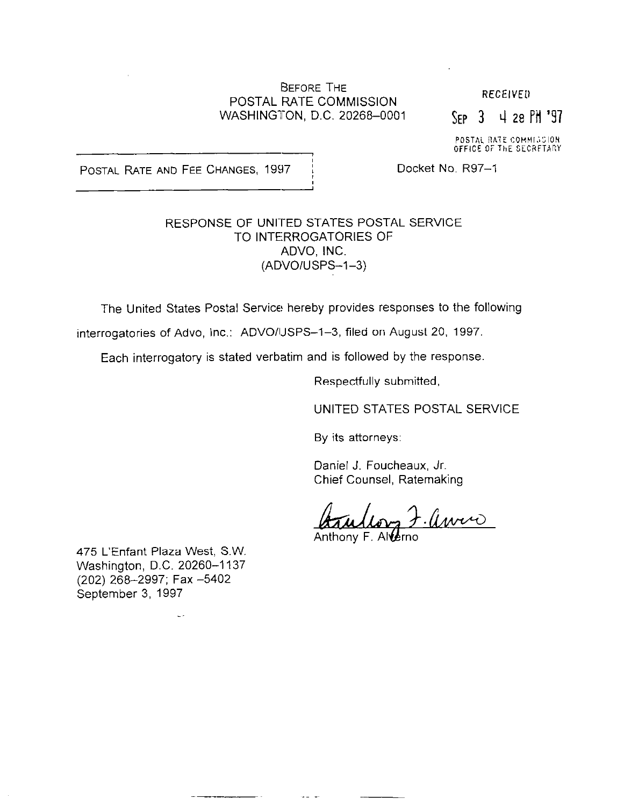#### BEFORE THE POSTAL RATE COMMISSION WASHINGTON, D.C. 20268-0001

**RECEIVED** 

 $SFP$  3 4 28 PM '97

POSTAL RATE COMMISSI OFFICE OF ThE SCCRFTATrY

POSTAL RATE AND FEE CHANGES, 1997 i Docket No. R97-1

### RESPONSE OF UNITED STATES POSTAL SERVICE TO INTERROGATORIES OF ADVO, INC. (ADVOIUSPS-1-3)

The United States Postal Service hereby provides responses to the following

interrogatories of Advo, Inc.: ADVO/USPS-1-3, filed on August 20, 1997.

Each interrogatory is stated verbatim and is followed by the response,

Respectfully submitted,

UNITED STATES POSTAL SERVICE

By its attorneys:

Daniel J. Foucheaux, Jr. Chief Counsel, Ratemaking

-avene

Anthony F. Allerno

475 L'Enfant Plaza West, S.W. Washington, D.C. 20260-1137 (202) 268-2997; Fax -5402 September 3, 1997

L.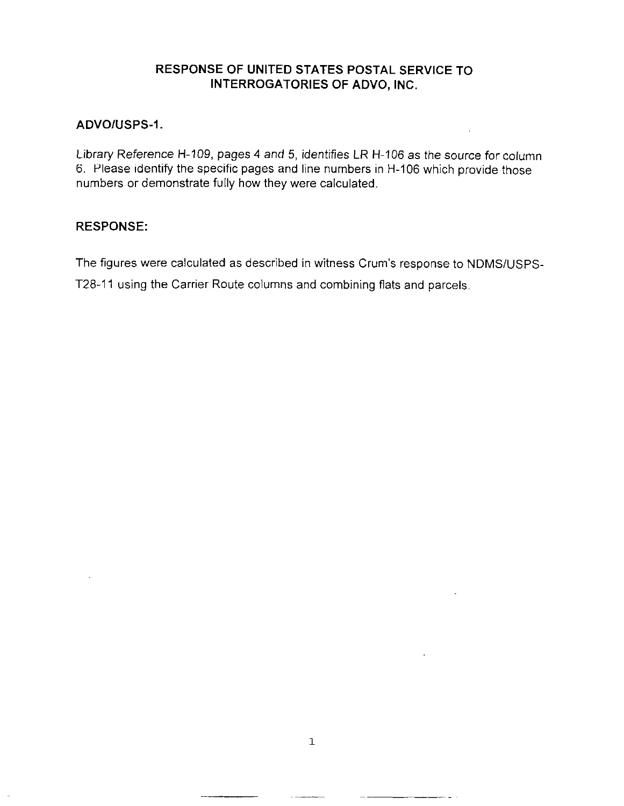## RESPONSE OF UNITED STATES POSTAL SERVICE TO INTERROGATORIES OF ADVO, INC.

#### ADVOIUSPS-1.

Library Reference H-109, pages 4 and 5, identifies LR H-106 as the source for column 6. Please identify the specific pages and line numbers in H-106 which provide those numbers or demonstrate fully how they were calculated.

#### RESPONSE:

The figures were calculated as described in witness Crum's response to NDMSIUSPS-

T28-11 using the Carrier Route columns and combining flats and parcels.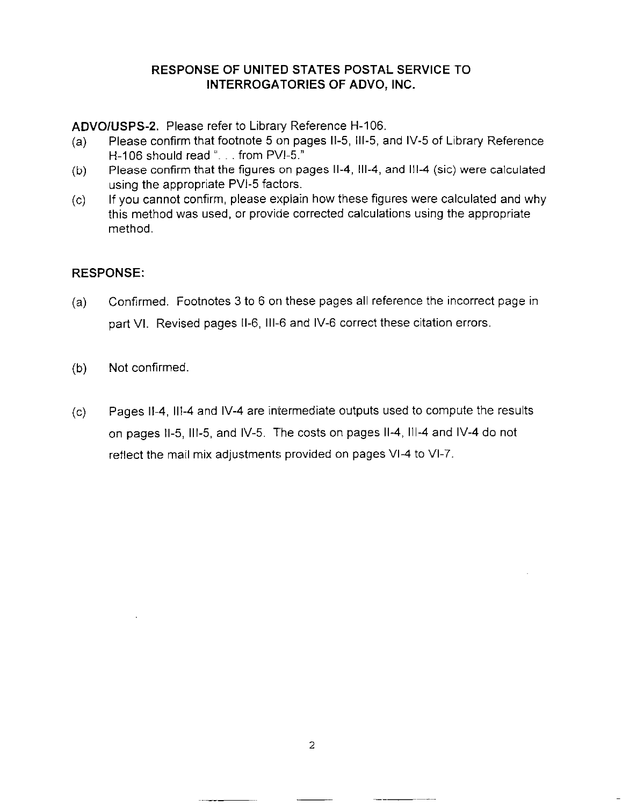## RESPONSE OF UNITED STATES POSTAL SERVICE 'TO INTERROGATORIES OF ADVO, INC.

ADVOIUSPS-2. Please refer to Library Reference H-106.

- (a) Please confirm that footnote 5 on pages 11-5, 111-5, and IV-5 of Library Reference H-106 should read  $\lbrack$ ... from PVI-5."
- (b) Please confirm that the figures on pages 11-4, 111-4, and Ill-4 (sic) were calculated using the appropriate PM-5 factors.
- $(c)$  If you cannot confirm, please explain how these figures were calculated and why this method was used, or provide corrected calculations using the appropriate method.

# RESPONSE:

- (a) Confirmed. Footnotes 3 to 6 on these pages all reference the incorrect page in part VI. Revised pages 11-6, Ill-6 and IV-6 correct these citation errors.
- (b) Not confirmed,
- Cc) Pages 11-4, Ill-4 and IV-4 are intermediate outputs used to compute the results on pages II-5, III-5, and IV-5. The costs on pages II-4, III-4 and IV-4 do not reflect the mail mix adjustments provided on pages VI-4 to VI-7.

----~-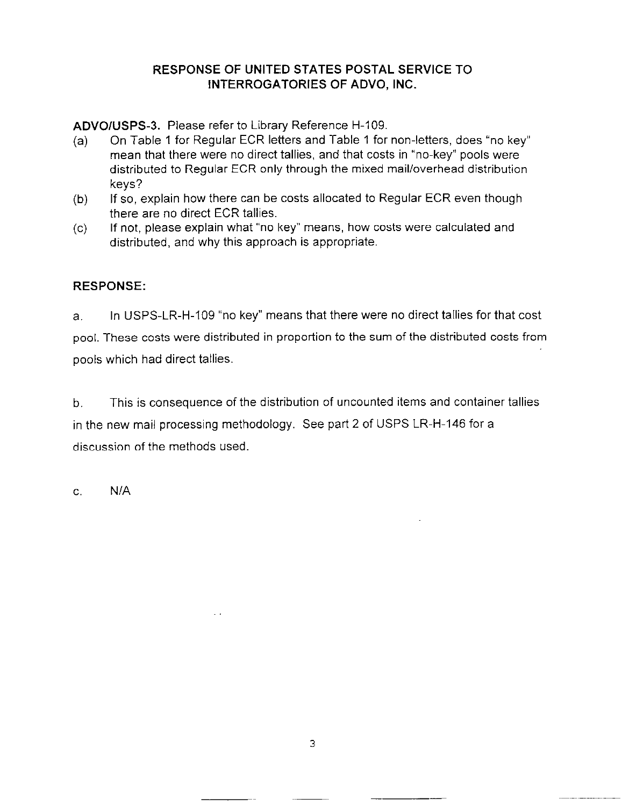# RESPONSE OF UNITED STATES POSTAL SERVICE TO INTERROGATORIES OF ADVO, INC.

ADVOIUSPS-3. Please refer to Library Reference H-109.

 $\sim$   $\sim$ 

- (a) On Table 1 for Regular ECR letters and Table 1 for non-letters, does "no key" mean that there were no direct tallies, and that costs in "no-key" pools were distributed to Regular ECR only through the mixed mail/overhead distribution keys?
- (b) If so, explain how there can be costs allocated to Regular ECR even though there are no direct ECR tallies.
- (c) If not, please explain what "no key" means, how costs were calculated and distributed, and why this approach is appropriate.

# RESPONSE:

a. In USPS-LR-H-109 "no key" means that there were no direct tallies for that cost pool. These costs were distributed in proportion to the sum of the distributed costs from pools which had direct tallies.

b. This is consequence of the distribution of uncounted items and container tallies in the new mail processing methodology. See part 2 of USPS LR-H-146 for a discussion of the methods used.

C. N/A